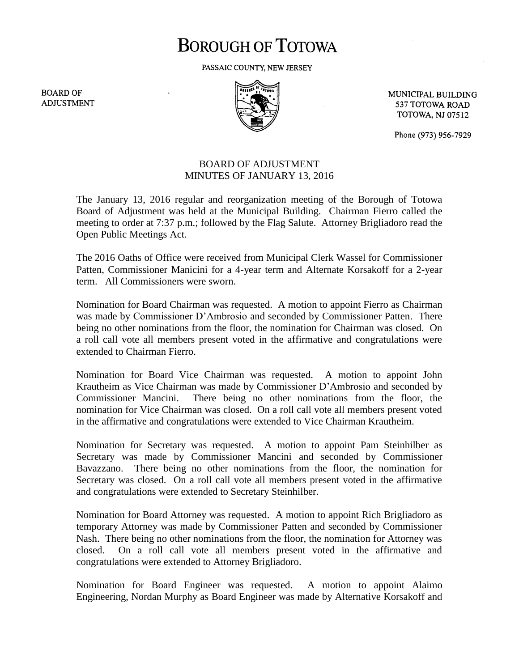## **BOROUGH OF TOTOWA**

PASSAIC COUNTY, NEW JERSEY

**BOARD OF ADJUSTMENT** 



MUNICIPAL BUILDING 537 TOTOWA ROAD **TOTOWA, NJ 07512** 

Phone (973) 956-7929

## BOARD OF ADJUSTMENT MINUTES OF JANUARY 13, 2016

The January 13, 2016 regular and reorganization meeting of the Borough of Totowa Board of Adjustment was held at the Municipal Building. Chairman Fierro called the meeting to order at 7:37 p.m.; followed by the Flag Salute. Attorney Brigliadoro read the Open Public Meetings Act.

The 2016 Oaths of Office were received from Municipal Clerk Wassel for Commissioner Patten, Commissioner Manicini for a 4-year term and Alternate Korsakoff for a 2-year term. All Commissioners were sworn.

Nomination for Board Chairman was requested. A motion to appoint Fierro as Chairman was made by Commissioner D'Ambrosio and seconded by Commissioner Patten. There being no other nominations from the floor, the nomination for Chairman was closed. On a roll call vote all members present voted in the affirmative and congratulations were extended to Chairman Fierro.

Nomination for Board Vice Chairman was requested. A motion to appoint John Krautheim as Vice Chairman was made by Commissioner D'Ambrosio and seconded by Commissioner Mancini. There being no other nominations from the floor, the nomination for Vice Chairman was closed. On a roll call vote all members present voted in the affirmative and congratulations were extended to Vice Chairman Krautheim.

Nomination for Secretary was requested. A motion to appoint Pam Steinhilber as Secretary was made by Commissioner Mancini and seconded by Commissioner Bavazzano. There being no other nominations from the floor, the nomination for Secretary was closed. On a roll call vote all members present voted in the affirmative and congratulations were extended to Secretary Steinhilber.

Nomination for Board Attorney was requested. A motion to appoint Rich Brigliadoro as temporary Attorney was made by Commissioner Patten and seconded by Commissioner Nash. There being no other nominations from the floor, the nomination for Attorney was closed. On a roll call vote all members present voted in the affirmative and congratulations were extended to Attorney Brigliadoro.

Nomination for Board Engineer was requested. A motion to appoint Alaimo Engineering, Nordan Murphy as Board Engineer was made by Alternative Korsakoff and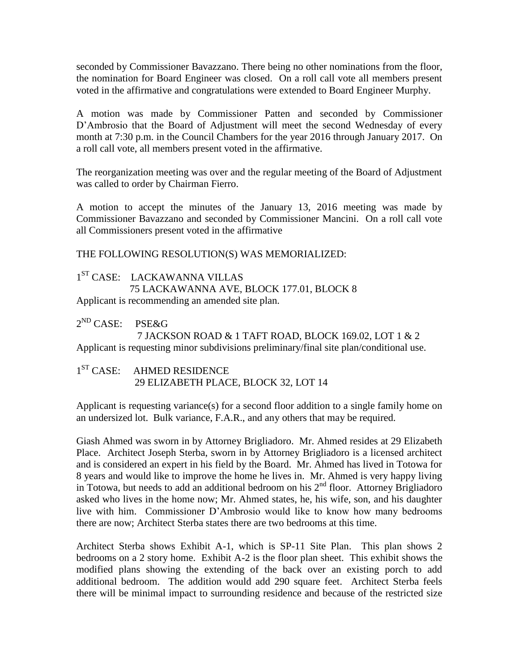seconded by Commissioner Bavazzano. There being no other nominations from the floor, the nomination for Board Engineer was closed. On a roll call vote all members present voted in the affirmative and congratulations were extended to Board Engineer Murphy.

A motion was made by Commissioner Patten and seconded by Commissioner D'Ambrosio that the Board of Adjustment will meet the second Wednesday of every month at 7:30 p.m. in the Council Chambers for the year 2016 through January 2017. On a roll call vote, all members present voted in the affirmative.

The reorganization meeting was over and the regular meeting of the Board of Adjustment was called to order by Chairman Fierro.

A motion to accept the minutes of the January 13, 2016 meeting was made by Commissioner Bavazzano and seconded by Commissioner Mancini. On a roll call vote all Commissioners present voted in the affirmative

THE FOLLOWING RESOLUTION(S) WAS MEMORIALIZED:

1 ST CASE: LACKAWANNA VILLAS 75 LACKAWANNA AVE, BLOCK 177.01, BLOCK 8 Applicant is recommending an amended site plan.

 $2^{\text{ND}}$  CASE: PSE&G

7 JACKSON ROAD & 1 TAFT ROAD, BLOCK 169.02, LOT 1 & 2 Applicant is requesting minor subdivisions preliminary/final site plan/conditional use.

1<sup>ST</sup> CASE: AHMED RESIDENCE 29 ELIZABETH PLACE, BLOCK 32, LOT 14

Applicant is requesting variance(s) for a second floor addition to a single family home on an undersized lot. Bulk variance, F.A.R., and any others that may be required.

Giash Ahmed was sworn in by Attorney Brigliadoro. Mr. Ahmed resides at 29 Elizabeth Place. Architect Joseph Sterba, sworn in by Attorney Brigliadoro is a licensed architect and is considered an expert in his field by the Board. Mr. Ahmed has lived in Totowa for 8 years and would like to improve the home he lives in. Mr. Ahmed is very happy living in Totowa, but needs to add an additional bedroom on his  $2<sup>nd</sup>$  floor. Attorney Brigliadoro asked who lives in the home now; Mr. Ahmed states, he, his wife, son, and his daughter live with him. Commissioner D'Ambrosio would like to know how many bedrooms there are now; Architect Sterba states there are two bedrooms at this time.

Architect Sterba shows Exhibit A-1, which is SP-11 Site Plan. This plan shows 2 bedrooms on a 2 story home. Exhibit A-2 is the floor plan sheet. This exhibit shows the modified plans showing the extending of the back over an existing porch to add additional bedroom. The addition would add 290 square feet. Architect Sterba feels there will be minimal impact to surrounding residence and because of the restricted size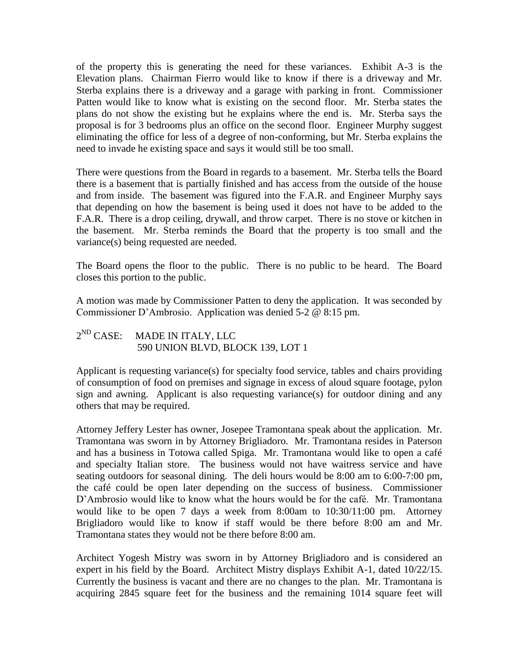of the property this is generating the need for these variances. Exhibit A-3 is the Elevation plans. Chairman Fierro would like to know if there is a driveway and Mr. Sterba explains there is a driveway and a garage with parking in front. Commissioner Patten would like to know what is existing on the second floor. Mr. Sterba states the plans do not show the existing but he explains where the end is. Mr. Sterba says the proposal is for 3 bedrooms plus an office on the second floor. Engineer Murphy suggest eliminating the office for less of a degree of non-conforming, but Mr. Sterba explains the need to invade he existing space and says it would still be too small.

There were questions from the Board in regards to a basement. Mr. Sterba tells the Board there is a basement that is partially finished and has access from the outside of the house and from inside. The basement was figured into the F.A.R. and Engineer Murphy says that depending on how the basement is being used it does not have to be added to the F.A.R. There is a drop ceiling, drywall, and throw carpet. There is no stove or kitchen in the basement. Mr. Sterba reminds the Board that the property is too small and the variance(s) being requested are needed.

The Board opens the floor to the public. There is no public to be heard. The Board closes this portion to the public.

A motion was made by Commissioner Patten to deny the application. It was seconded by Commissioner D'Ambrosio. Application was denied 5-2 @ 8:15 pm.

## $2^{ND}$  CASE: MADE IN ITALY, LLC 590 UNION BLVD, BLOCK 139, LOT 1

Applicant is requesting variance(s) for specialty food service, tables and chairs providing of consumption of food on premises and signage in excess of aloud square footage, pylon sign and awning. Applicant is also requesting variance(s) for outdoor dining and any others that may be required.

Attorney Jeffery Lester has owner, Josepee Tramontana speak about the application. Mr. Tramontana was sworn in by Attorney Brigliadoro. Mr. Tramontana resides in Paterson and has a business in Totowa called Spiga. Mr. Tramontana would like to open a café and specialty Italian store. The business would not have waitress service and have seating outdoors for seasonal dining. The deli hours would be 8:00 am to 6:00-7:00 pm, the café could be open later depending on the success of business. Commissioner D'Ambrosio would like to know what the hours would be for the café. Mr. Tramontana would like to be open 7 days a week from 8:00am to 10:30/11:00 pm. Attorney Brigliadoro would like to know if staff would be there before 8:00 am and Mr. Tramontana states they would not be there before 8:00 am.

Architect Yogesh Mistry was sworn in by Attorney Brigliadoro and is considered an expert in his field by the Board. Architect Mistry displays Exhibit A-1, dated 10/22/15. Currently the business is vacant and there are no changes to the plan. Mr. Tramontana is acquiring 2845 square feet for the business and the remaining 1014 square feet will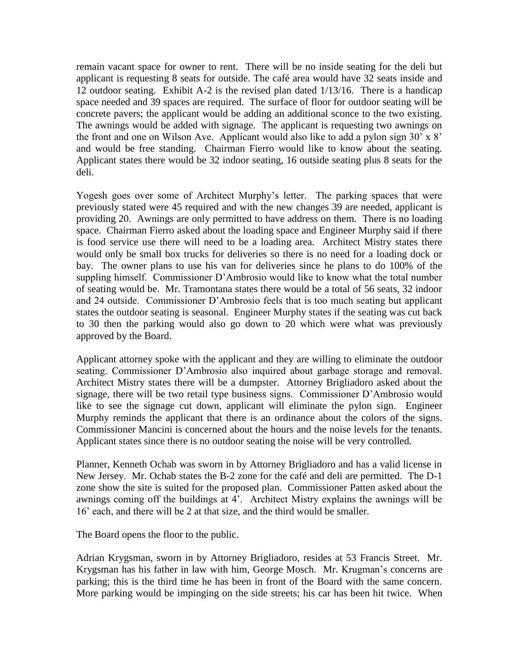remain vacant space for owner to rent. There will be no inside seating for the deli but applicant is requesting 8 seats for outside. The café area would have 32 seats inside and 12 outdoor seating. Exhibit A-2 is the revised plan dated 1/13/16. There is a handicap space needed and 39 spaces are required. The surface of floor for outdoor seating will be concrete pavers; the applicant would be adding an additional sconce to the two existing. The awnings would be added with signage. The applicant is requesting two awnings on the front and one on Wilson Ave. Applicant would also like to add a pylon sign 30' x 8' and would be free standing. Chairman Fierro would like to know about the seating. Applicant states there would be 32 indoor seating, 16 outside seating plus 8 seats for the deli.

Yogesh goes over some of Architect Murphy's letter. The parking spaces that were previously stated were 45 required and with the new changes 39 are needed, applicant is providing 20. Awnings are only permitted to have address on them. There is no loading space. Chairman Fierro asked about the loading space and Engineer Murphy said if there is food service use there will need to be a loading area. Architect Mistry states there would only be small box trucks for deliveries so there is no need for a loading dock or bay. The owner plans to use his van for deliveries since he plans to do 100% of the suppling himself. Commissioner D'Ambrosio would like to know what the total number of seating would be. Mr. Tramontana states there would be a total of 56 seats, 32 indoor and 24 outside. Commissioner D'Ambrosio feels that is too much seating but applicant states the outdoor seating is seasonal. Engineer Murphy states if the seating was cut back to 30 then the parking would also go down to 20 which were what was previously approved by the Board.

Applicant attorney spoke with the applicant and they are willing to eliminate the outdoor seating. Commissioner D'Ambrosio also inquired about garbage storage and removal. Architect Mistry states there will be a dumpster. Attorney Brigliadoro asked about the signage, there will be two retail type business signs. Commissioner D'Ambrosio would like to see the signage cut down, applicant will eliminate the pylon sign. Engineer Murphy reminds the applicant that there is an ordinance about the colors of the signs. Commissioner Mancini is concerned about the hours and the noise levels for the tenants. Applicant states since there is no outdoor seating the noise will be very controlled.

Planner, Kenneth Ochab was sworn in by Attorney Brigliadoro and has a valid license in New Jersey. Mr. Ochab states the B-2 zone for the café and deli are permitted. The D-1 zone show the site is suited for the proposed plan. Commissioner Patten asked about the awnings coming off the buildings at 4'. Architect Mistry explains the awnings will be 16' each, and there will be 2 at that size, and the third would be smaller.

The Board opens the floor to the public.

Adrian Krygsman, sworn in by Attorney Brigliadoro, resides at 53 Francis Street. Mr. Krygsman has his father in law with him, George Mosch. Mr. Krugman's concerns are parking; this is the third time he has been in front of the Board with the same concern. More parking would be impinging on the side streets; his car has been hit twice. When